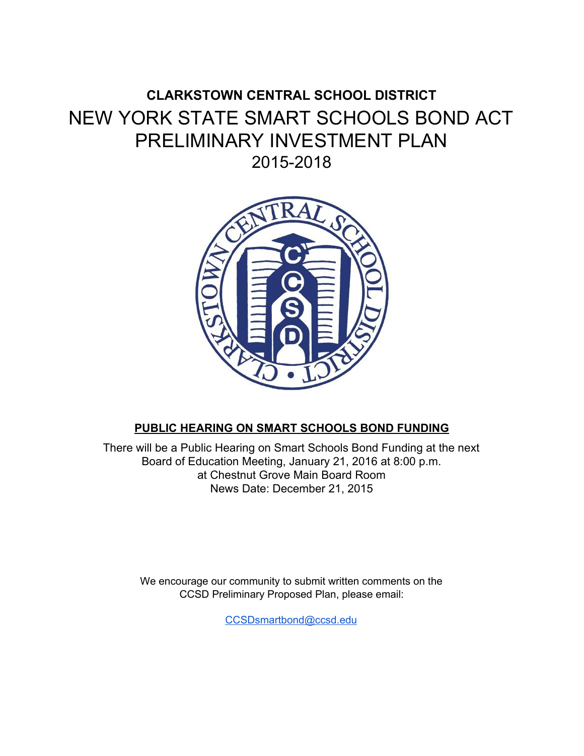# **CLARKSTOWN CENTRAL SCHOOL DISTRICT** NEW YORK STATE SMART SCHOOLS BOND ACT PRELIMINARY INVESTMENT PLAN 2015-2018



# PUBLIC HEARING ON SMART SCHOOLS BOND FUNDING

There will be a Public Hearing on Smart Schools Bond Funding at the next Board of Education Meeting, January 21, 2016 at 8:00 p.m. at Chestnut Grove Main Board Room News Date: December 21, 2015

We encourage our community to submit written comments on the CCSD Preliminary Proposed Plan, please email:

CCSDsmartbond@ccsd.edu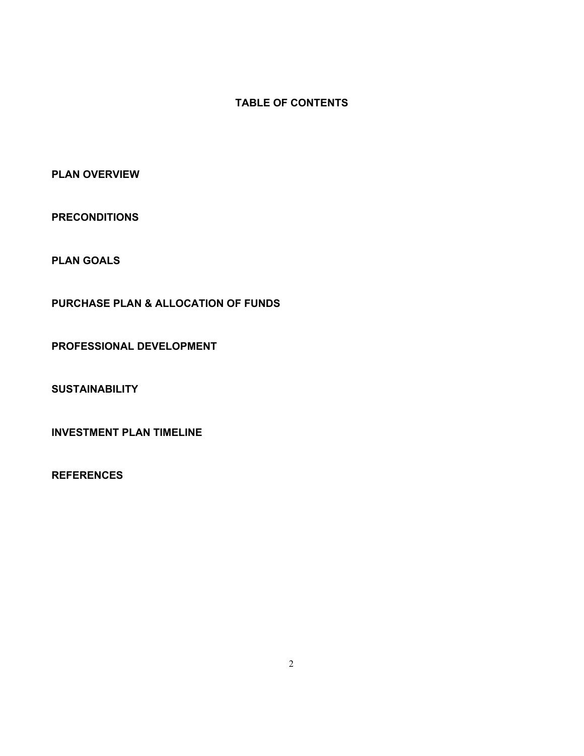## **TABLE OF CONTENTS**

**PLAN OVERVIEW** 

**PRECONDITIONS** 

**PLAN GOALS** 

PURCHASE PLAN & ALLOCATION OF FUNDS

PROFESSIONAL DEVELOPMENT

**SUSTAINABILITY** 

**INVESTMENT PLAN TIMELINE** 

**REFERENCES**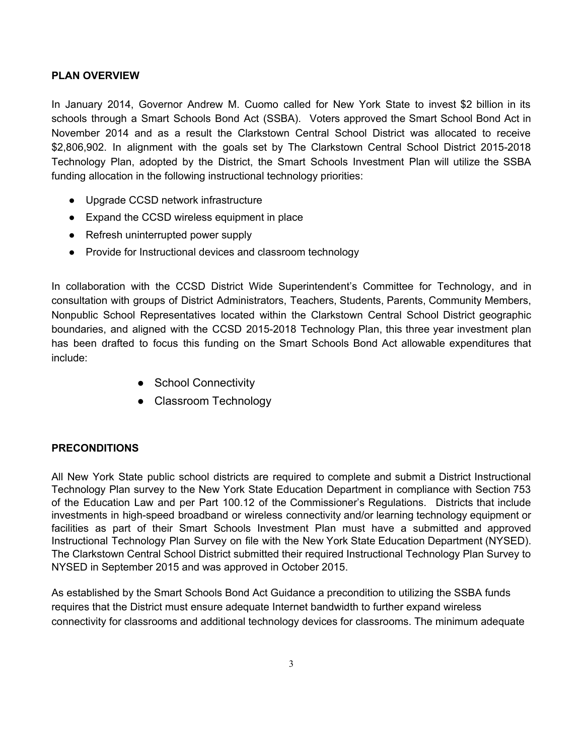#### **PLAN OVERVIEW**

In January 2014, Governor Andrew M. Cuomo called for New York State to invest \$2 billion in its schools through a Smart Schools Bond Act (SSBA). Voters approved the Smart School Bond Act in November 2014 and as a result the Clarkstown Central School District was allocated to receive \$2,806,902. In alignment with the goals set by The Clarkstown Central School District 2015-2018 Technology Plan, adopted by the District, the Smart Schools Investment Plan will utilize the SSBA funding allocation in the following instructional technology priorities:

- Upgrade CCSD network infrastructure
- Expand the CCSD wireless equipment in place
- Refresh uninterrupted power supply
- Provide for Instructional devices and classroom technology

In collaboration with the CCSD District Wide Superintendent's Committee for Technology, and in consultation with groups of District Administrators, Teachers, Students, Parents, Community Members, Nonpublic School Representatives located within the Clarkstown Central School District geographic boundaries, and aligned with the CCSD 2015-2018 Technology Plan, this three year investment plan has been drafted to focus this funding on the Smart Schools Bond Act allowable expenditures that include:

- School Connectivity
- Classroom Technology

#### **PRECONDITIONS**

All New York State public school districts are required to complete and submit a District Instructional Technology Plan survey to the New York State Education Department in compliance with Section 753 of the Education Law and per Part 100.12 of the Commissioner's Regulations. Districts that include investments in high-speed broadband or wireless connectivity and/or learning technology equipment or facilities as part of their Smart Schools Investment Plan must have a submitted and approved Instructional Technology Plan Survey on file with the New York State Education Department (NYSED). The Clarkstown Central School District submitted their required Instructional Technology Plan Survey to NYSED in September 2015 and was approved in October 2015.

As established by the Smart Schools Bond Act Guidance a precondition to utilizing the SSBA funds requires that the District must ensure adequate Internet bandwidth to further expand wireless connectivity for classrooms and additional technology devices for classrooms. The minimum adequate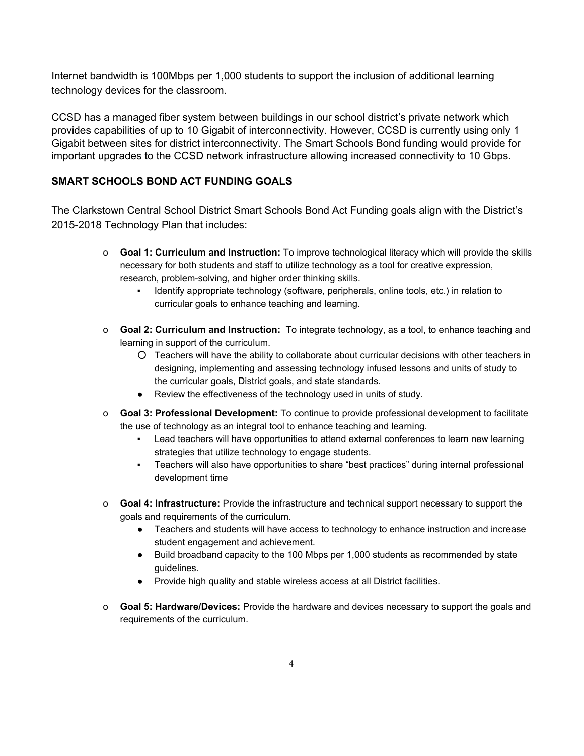Internet bandwidth is 100Mbps per 1,000 students to support the inclusion of additional learning technology devices for the classroom.

CCSD has a managed fiber system between buildings in our school district's private network which provides capabilities of up to 10 Gigabit of interconnectivity. However, CCSD is currently using only 1 Gigabit between sites for district interconnectivity. The Smart Schools Bond funding would provide for important upgrades to the CCSD network infrastructure allowing increased connectivity to 10 Gbps.

## **SMART SCHOOLS BOND ACT FUNDING GOALS**

The Clarkstown Central School District Smart Schools Bond Act Funding goals align with the District's 2015-2018 Technology Plan that includes:

- o Goal 1: Curriculum and Instruction: To improve technological literacy which will provide the skills necessary for both students and staff to utilize technology as a tool for creative expression, research, problem-solving, and higher order thinking skills.
	- Identify appropriate technology (software, peripherals, online tools, etc.) in relation to curricular goals to enhance teaching and learning.
- o Goal 2: Curriculum and Instruction: To integrate technology, as a tool, to enhance teaching and learning in support of the curriculum.
	- O Teachers will have the ability to collaborate about curricular decisions with other teachers in designing, implementing and assessing technology infused lessons and units of study to the curricular goals, District goals, and state standards.
	- Review the effectiveness of the technology used in units of study.  $\bullet$
- o Goal 3: Professional Development: To continue to provide professional development to facilitate the use of technology as an integral tool to enhance teaching and learning.
	- Lead teachers will have opportunities to attend external conferences to learn new learning  $\mathbf{r}$ strategies that utilize technology to engage students.
	- Teachers will also have opportunities to share "best practices" during internal professional development time
- o Goal 4: Infrastructure: Provide the infrastructure and technical support necessary to support the goals and requirements of the curriculum.
	- Teachers and students will have access to technology to enhance instruction and increase student engagement and achievement.
	- Build broadband capacity to the 100 Mbps per 1,000 students as recommended by state guidelines.
	- Provide high quality and stable wireless access at all District facilities.
- o Goal 5: Hardware/Devices: Provide the hardware and devices necessary to support the goals and requirements of the curriculum.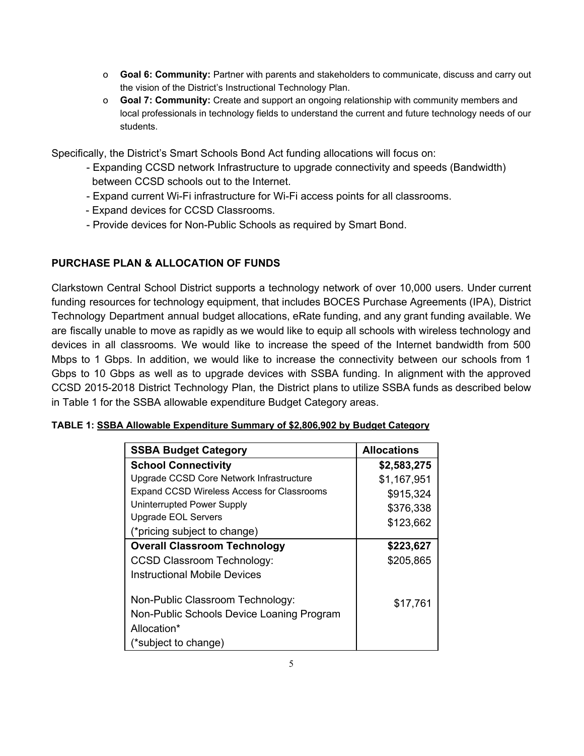- o Goal 6: Community: Partner with parents and stakeholders to communicate, discuss and carry out the vision of the District's Instructional Technology Plan.
- o Goal 7: Community: Create and support an ongoing relationship with community members and local professionals in technology fields to understand the current and future technology needs of our students.

Specifically, the District's Smart Schools Bond Act funding allocations will focus on:

- Expanding CCSD network Infrastructure to upgrade connectivity and speeds (Bandwidth) between CCSD schools out to the Internet.
- Expand current Wi-Fi infrastructure for Wi-Fi access points for all classrooms.
- Expand devices for CCSD Classrooms.
- Provide devices for Non-Public Schools as required by Smart Bond.

# PURCHASE PLAN & ALLOCATION OF FUNDS

Clarkstown Central School District supports a technology network of over 10,000 users. Under current funding resources for technology equipment, that includes BOCES Purchase Agreements (IPA), District Technology Department annual budget allocations, eRate funding, and any grant funding available. We are fiscally unable to move as rapidly as we would like to equip all schools with wireless technology and devices in all classrooms. We would like to increase the speed of the Internet bandwidth from 500 Mbps to 1 Gbps. In addition, we would like to increase the connectivity between our schools from 1 Gbps to 10 Gbps as well as to upgrade devices with SSBA funding. In alignment with the approved CCSD 2015-2018 District Technology Plan, the District plans to utilize SSBA funds as described below in Table 1 for the SSBA allowable expenditure Budget Category areas.

| <b>SSBA Budget Category</b>                | <b>Allocations</b> |
|--------------------------------------------|--------------------|
| <b>School Connectivity</b>                 | \$2,583,275        |
| Upgrade CCSD Core Network Infrastructure   | \$1,167,951        |
| Expand CCSD Wireless Access for Classrooms | \$915,324          |
| Uninterrupted Power Supply                 | \$376,338          |
| <b>Upgrade EOL Servers</b>                 | \$123,662          |
| (*pricing subject to change)               |                    |
| <b>Overall Classroom Technology</b>        | \$223,627          |
| <b>CCSD Classroom Technology:</b>          | \$205,865          |
| <b>Instructional Mobile Devices</b>        |                    |
| Non-Public Classroom Technology:           | \$17,761           |
| Non-Public Schools Device Loaning Program  |                    |
| Allocation*                                |                    |
| (*subject to change)                       |                    |

| TABLE 1: SSBA Allowable Expenditure Summary of \$2,806,902 by Budget Category |  |  |
|-------------------------------------------------------------------------------|--|--|
|                                                                               |  |  |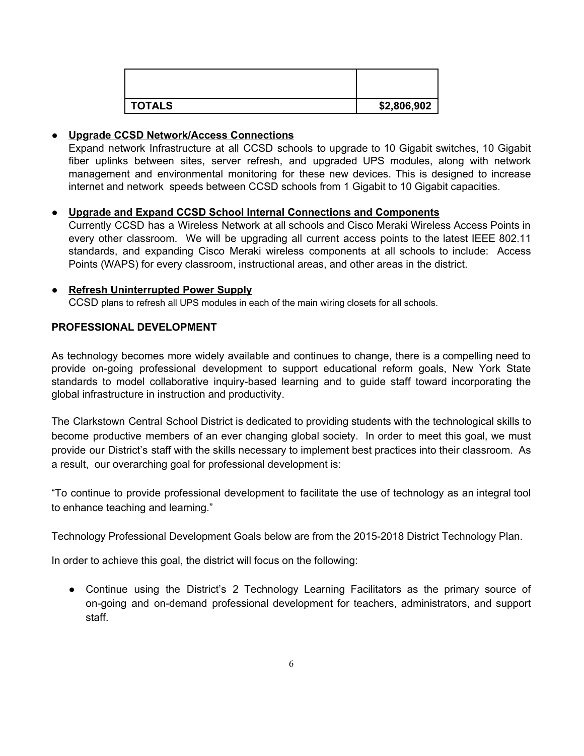| <b>TOTALS</b> | \$2,806,902 |
|---------------|-------------|

#### • Upgrade CCSD Network/Access Connections

Expand network Infrastructure at all CCSD schools to upgrade to 10 Gigabit switches, 10 Gigabit fiber uplinks between sites, server refresh, and upgraded UPS modules, along with network management and environmental monitoring for these new devices. This is designed to increase internet and network speeds between CCSD schools from 1 Gigabit to 10 Gigabit capacities.

#### • Upgrade and Expand CCSD School Internal Connections and Components

Currently CCSD has a Wireless Network at all schools and Cisco Meraki Wireless Access Points in every other classroom. We will be upgrading all current access points to the latest IEEE 802.11 standards, and expanding Cisco Meraki wireless components at all schools to include: Access Points (WAPS) for every classroom, instructional areas, and other areas in the district.

#### • Refresh Uninterrupted Power Supply

CCSD plans to refresh all UPS modules in each of the main wiring closets for all schools.

#### PROFESSIONAL DEVELOPMENT

As technology becomes more widely available and continues to change, there is a compelling need to provide on-going professional development to support educational reform goals, New York State standards to model collaborative inquiry-based learning and to guide staff toward incorporating the global infrastructure in instruction and productivity.

The Clarkstown Central School District is dedicated to providing students with the technological skills to become productive members of an ever changing global society. In order to meet this goal, we must provide our District's staff with the skills necessary to implement best practices into their classroom. As a result, our overarching goal for professional development is:

"To continue to provide professional development to facilitate the use of technology as an integral tool to enhance teaching and learning."

Technology Professional Development Goals below are from the 2015-2018 District Technology Plan.

In order to achieve this goal, the district will focus on the following:

• Continue using the District's 2 Technology Learning Facilitators as the primary source of on-going and on-demand professional development for teachers, administrators, and support staff.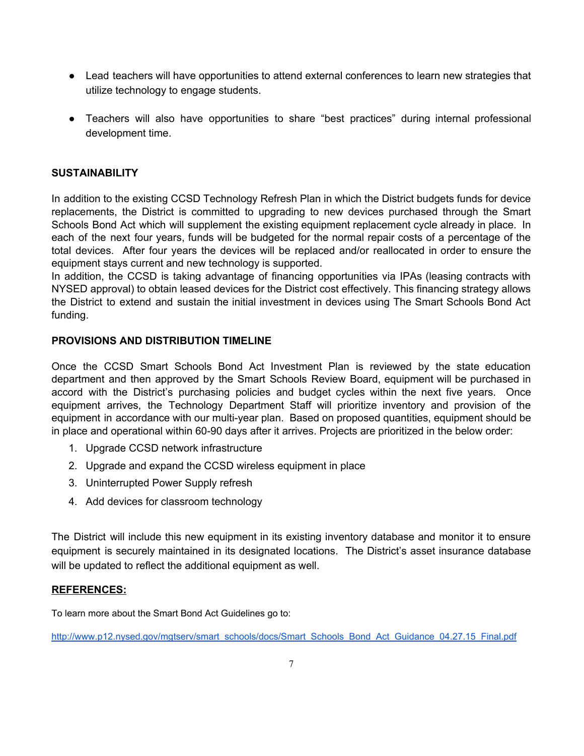- Lead teachers will have opportunities to attend external conferences to learn new strategies that utilize technology to engage students.
- Teachers will also have opportunities to share "best practices" during internal professional development time.

### **SUSTAINABILITY**

In addition to the existing CCSD Technology Refresh Plan in which the District budgets funds for device replacements, the District is committed to upgrading to new devices purchased through the Smart Schools Bond Act which will supplement the existing equipment replacement cycle already in place. In each of the next four years, funds will be budgeted for the normal repair costs of a percentage of the total devices. After four years the devices will be replaced and/or reallocated in order to ensure the equipment stays current and new technology is supported.

In addition, the CCSD is taking advantage of financing opportunities via IPAs (leasing contracts with NYSED approval) to obtain leased devices for the District cost effectively. This financing strategy allows the District to extend and sustain the initial investment in devices using The Smart Schools Bond Act funding.

#### PROVISIONS AND DISTRIBUTION TIMELINE

Once the CCSD Smart Schools Bond Act Investment Plan is reviewed by the state education department and then approved by the Smart Schools Review Board, equipment will be purchased in accord with the District's purchasing policies and budget cycles within the next five years. Once equipment arrives, the Technology Department Staff will prioritize inventory and provision of the equipment in accordance with our multi-year plan. Based on proposed quantities, equipment should be in place and operational within 60-90 days after it arrives. Projects are prioritized in the below order:

- 1. Upgrade CCSD network infrastructure
- 2. Upgrade and expand the CCSD wireless equipment in place
- 3. Uninterrupted Power Supply refresh
- 4. Add devices for classroom technology

The District will include this new equipment in its existing inventory database and monitor it to ensure equipment is securely maintained in its designated locations. The District's asset insurance database will be updated to reflect the additional equipment as well.

#### **REFERENCES:**

To learn more about the Smart Bond Act Guidelines go to:

http://www.p12.nysed.gov/mgtserv/smart\_schools/docs/Smart\_Schools\_Bond\_Act\_Guidance\_04.27.15\_Final.pdf